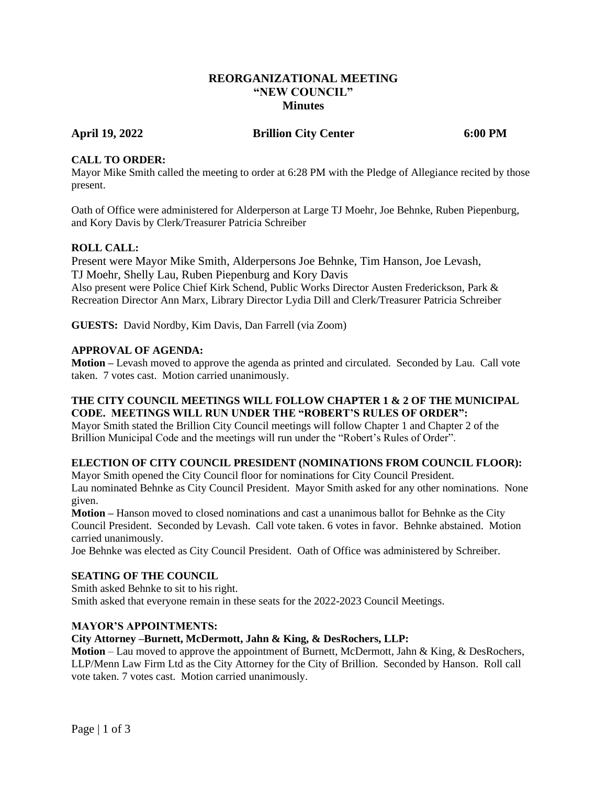# **REORGANIZATIONAL MEETING "NEW COUNCIL" Minutes**

# **April 19, 2022 Brillion City Center 6:00 PM**

### **CALL TO ORDER:**

Mayor Mike Smith called the meeting to order at 6:28 PM with the Pledge of Allegiance recited by those present.

Oath of Office were administered for Alderperson at Large TJ Moehr, Joe Behnke, Ruben Piepenburg, and Kory Davis by Clerk/Treasurer Patricia Schreiber

# **ROLL CALL:**

Present were Mayor Mike Smith, Alderpersons Joe Behnke, Tim Hanson, Joe Levash, TJ Moehr, Shelly Lau, Ruben Piepenburg and Kory Davis Also present were Police Chief Kirk Schend, Public Works Director Austen Frederickson, Park & Recreation Director Ann Marx, Library Director Lydia Dill and Clerk/Treasurer Patricia Schreiber

**GUESTS:** David Nordby, Kim Davis, Dan Farrell (via Zoom)

### **APPROVAL OF AGENDA:**

**Motion –** Levash moved to approve the agenda as printed and circulated. Seconded by Lau. Call vote taken. 7 votes cast. Motion carried unanimously.

# **THE CITY COUNCIL MEETINGS WILL FOLLOW CHAPTER 1 & 2 OF THE MUNICIPAL CODE. MEETINGS WILL RUN UNDER THE "ROBERT'S RULES OF ORDER":**

Mayor Smith stated the Brillion City Council meetings will follow Chapter 1 and Chapter 2 of the Brillion Municipal Code and the meetings will run under the "Robert's Rules of Order".

### **ELECTION OF CITY COUNCIL PRESIDENT (NOMINATIONS FROM COUNCIL FLOOR):**

Mayor Smith opened the City Council floor for nominations for City Council President. Lau nominated Behnke as City Council President. Mayor Smith asked for any other nominations. None given.

**Motion –** Hanson moved to closed nominations and cast a unanimous ballot for Behnke as the City Council President. Seconded by Levash. Call vote taken. 6 votes in favor. Behnke abstained. Motion carried unanimously.

Joe Behnke was elected as City Council President. Oath of Office was administered by Schreiber.

### **SEATING OF THE COUNCIL**

Smith asked Behnke to sit to his right. Smith asked that everyone remain in these seats for the 2022-2023 Council Meetings.

### **MAYOR'S APPOINTMENTS:**

### **City Attorney –Burnett, McDermott, Jahn & King, & DesRochers, LLP:**

**Motion** – Lau moved to approve the appointment of Burnett, McDermott, Jahn & King, & DesRochers, LLP/Menn Law Firm Ltd as the City Attorney for the City of Brillion. Seconded by Hanson. Roll call vote taken. 7 votes cast. Motion carried unanimously.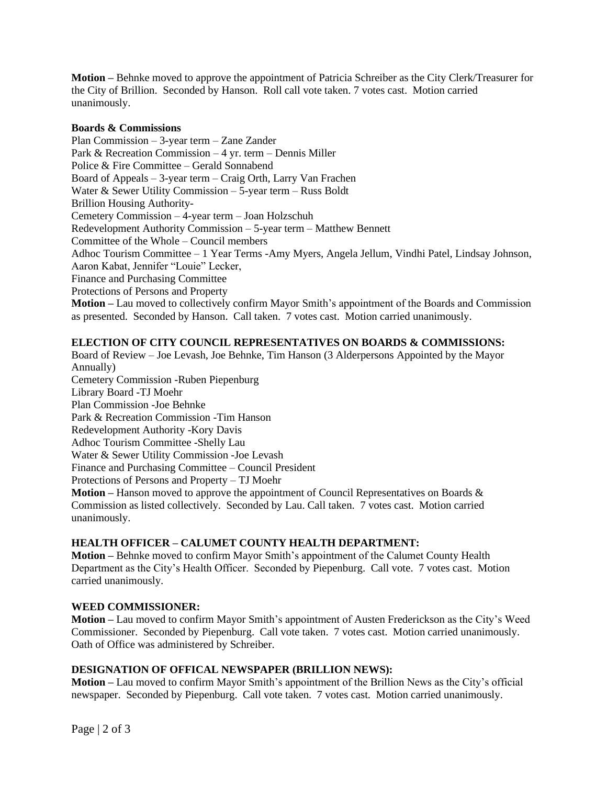**Motion –** Behnke moved to approve the appointment of Patricia Schreiber as the City Clerk/Treasurer for the City of Brillion. Seconded by Hanson. Roll call vote taken. 7 votes cast. Motion carried unanimously.

#### **Boards & Commissions**

Plan Commission – 3-year term – Zane Zander Park & Recreation Commission – 4 yr. term – Dennis Miller Police & Fire Committee – Gerald Sonnabend Board of Appeals – 3-year term – Craig Orth, Larry Van Frachen Water & Sewer Utility Commission – 5-year term – Russ Boldt Brillion Housing Authority-Cemetery Commission – 4-year term – Joan Holzschuh Redevelopment Authority Commission – 5-year term – Matthew Bennett Committee of the Whole – Council members Adhoc Tourism Committee – 1 Year Terms -Amy Myers, Angela Jellum, Vindhi Patel, Lindsay Johnson, Aaron Kabat, Jennifer "Louie" Lecker, Finance and Purchasing Committee Protections of Persons and Property **Motion –** Lau moved to collectively confirm Mayor Smith's appointment of the Boards and Commission as presented. Seconded by Hanson. Call taken. 7 votes cast. Motion carried unanimously.

# **ELECTION OF CITY COUNCIL REPRESENTATIVES ON BOARDS & COMMISSIONS:**

Board of Review – Joe Levash, Joe Behnke, Tim Hanson (3 Alderpersons Appointed by the Mayor Annually) Cemetery Commission -Ruben Piepenburg Library Board -TJ Moehr Plan Commission -Joe Behnke Park & Recreation Commission -Tim Hanson Redevelopment Authority -Kory Davis Adhoc Tourism Committee -Shelly Lau Water & Sewer Utility Commission -Joe Levash Finance and Purchasing Committee – Council President Protections of Persons and Property – TJ Moehr **Motion –** Hanson moved to approve the appointment of Council Representatives on Boards & Commission as listed collectively. Seconded by Lau. Call taken. 7 votes cast. Motion carried unanimously.

# **HEALTH OFFICER – CALUMET COUNTY HEALTH DEPARTMENT:**

**Motion –** Behnke moved to confirm Mayor Smith's appointment of the Calumet County Health Department as the City's Health Officer. Seconded by Piepenburg. Call vote. 7 votes cast. Motion carried unanimously.

### **WEED COMMISSIONER:**

**Motion –** Lau moved to confirm Mayor Smith's appointment of Austen Frederickson as the City's Weed Commissioner. Seconded by Piepenburg. Call vote taken. 7 votes cast. Motion carried unanimously. Oath of Office was administered by Schreiber.

### **DESIGNATION OF OFFICAL NEWSPAPER (BRILLION NEWS):**

**Motion –** Lau moved to confirm Mayor Smith's appointment of the Brillion News as the City's official newspaper. Seconded by Piepenburg. Call vote taken. 7 votes cast. Motion carried unanimously.